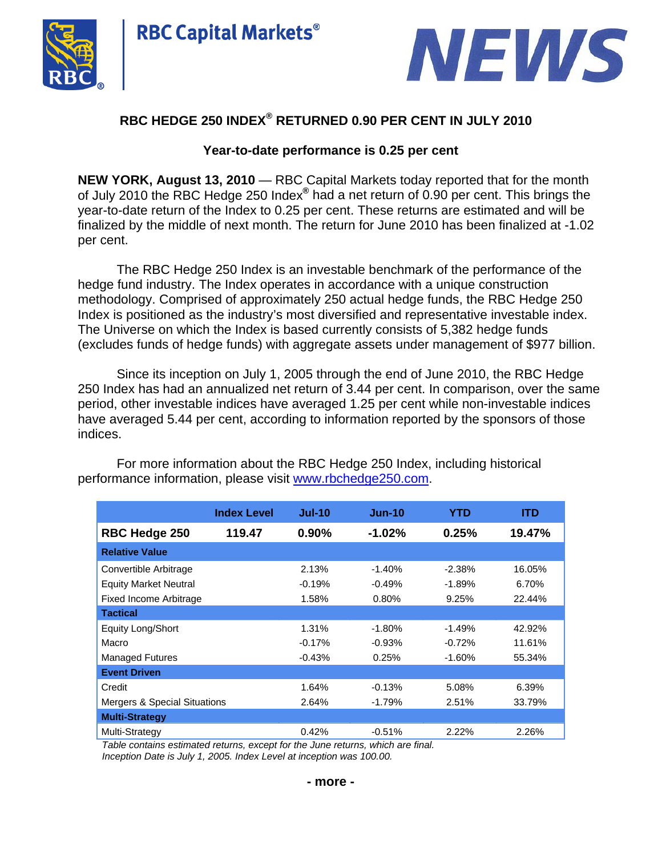



# **RBC HEDGE 250 INDEX® RETURNED 0.90 PER CENT IN JULY 2010**

**RBC Capital Markets®** 

## **Year-to-date performance is 0.25 per cent**

**NEW YORK, August 13, 2010** — RBC Capital Markets today reported that for the month of July 2010 the RBC Hedge 250 Index**®** had a net return of 0.90 per cent. This brings the year-to-date return of the Index to 0.25 per cent. These returns are estimated and will be finalized by the middle of next month. The return for June 2010 has been finalized at -1.02 per cent.

The RBC Hedge 250 Index is an investable benchmark of the performance of the hedge fund industry. The Index operates in accordance with a unique construction methodology. Comprised of approximately 250 actual hedge funds, the RBC Hedge 250 Index is positioned as the industry's most diversified and representative investable index. The Universe on which the Index is based currently consists of 5,382 hedge funds (excludes funds of hedge funds) with aggregate assets under management of \$977 billion.

Since its inception on July 1, 2005 through the end of June 2010, the RBC Hedge 250 Index has had an annualized net return of 3.44 per cent. In comparison, over the same period, other investable indices have averaged 1.25 per cent while non-investable indices have averaged 5.44 per cent, according to information reported by the sponsors of those indices.

|                               | <b>Index Level</b> | $Jul-10$ | $Jun-10$ | <b>YTD</b> | <b>ITD</b> |
|-------------------------------|--------------------|----------|----------|------------|------------|
| <b>RBC Hedge 250</b>          | 119.47             | 0.90%    | $-1.02%$ | 0.25%      | 19.47%     |
| <b>Relative Value</b>         |                    |          |          |            |            |
| Convertible Arbitrage         |                    | 2.13%    | $-1.40%$ | $-2.38%$   | 16.05%     |
| <b>Equity Market Neutral</b>  |                    | $-0.19%$ | $-0.49%$ | $-1.89%$   | 6.70%      |
| <b>Fixed Income Arbitrage</b> |                    | 1.58%    | 0.80%    | 9.25%      | 22.44%     |
| <b>Tactical</b>               |                    |          |          |            |            |
| <b>Equity Long/Short</b>      |                    | 1.31%    | $-1.80%$ | $-1.49%$   | 42.92%     |
| Macro                         |                    | $-0.17%$ | $-0.93%$ | $-0.72%$   | 11.61%     |
| <b>Managed Futures</b>        |                    | $-0.43%$ | 0.25%    | $-1.60\%$  | 55.34%     |
| <b>Event Driven</b>           |                    |          |          |            |            |
| Credit                        |                    | 1.64%    | $-0.13%$ | 5.08%      | 6.39%      |
| Mergers & Special Situations  |                    | 2.64%    | -1.79%   | 2.51%      | 33.79%     |
| <b>Multi-Strategy</b>         |                    |          |          |            |            |
| Multi-Strategy                |                    | 0.42%    | $-0.51%$ | 2.22%      | 2.26%      |

For more information about the RBC Hedge 250 Index, including historical performance information, please visit [www.rbchedge250.com.](http://www.rbchedge250.com/)

*Table contains estimated returns, except for the June returns, which are final.* 

*Inception Date is July 1, 2005. Index Level at inception was 100.00.*